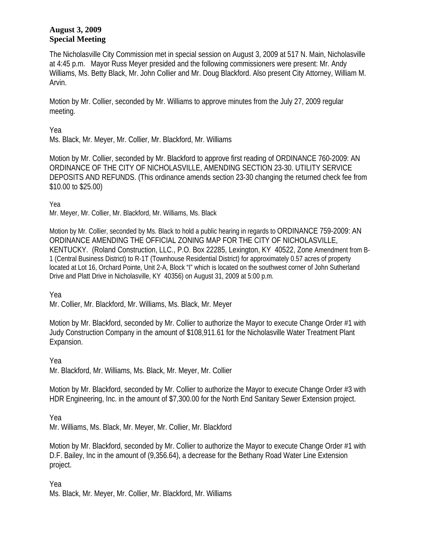## **August 3, 2009 Special Meeting**

The Nicholasville City Commission met in special session on August 3, 2009 at 517 N. Main, Nicholasville at 4:45 p.m. Mayor Russ Meyer presided and the following commissioners were present: Mr. Andy Williams, Ms. Betty Black, Mr. John Collier and Mr. Doug Blackford. Also present City Attorney, William M. Arvin.

Motion by Mr. Collier, seconded by Mr. Williams to approve minutes from the July 27, 2009 regular meeting.

Yea

Ms. Black, Mr. Meyer, Mr. Collier, Mr. Blackford, Mr. Williams

Motion by Mr. Collier, seconded by Mr. Blackford to approve first reading of ORDINANCE 760-2009: AN ORDINANCE OF THE CITY OF NICHOLASVILLE, AMENDING SECTION 23-30. UTILITY SERVICE DEPOSITS AND REFUNDS. (This ordinance amends section 23-30 changing the returned check fee from \$10.00 to \$25.00)

Yea

Mr. Meyer, Mr. Collier, Mr. Blackford, Mr. Williams, Ms. Black

Motion by Mr. Collier, seconded by Ms. Black to hold a public hearing in regards to ORDINANCE 759-2009: AN ORDINANCE AMENDING THE OFFICIAL ZONING MAP FOR THE CITY OF NICHOLASVILLE, KENTUCKY. (Roland Construction, LLC., P.O. Box 22285, Lexington, KY 40522, Zone Amendment from B-1 (Central Business District) to R-1T (Townhouse Residential District) for approximately 0.57 acres of property located at Lot 16, Orchard Pointe, Unit 2-A, Block "I" which is located on the southwest corner of John Sutherland Drive and Platt Drive in Nicholasville, KY 40356) on August 31, 2009 at 5:00 p.m.

Yea

Mr. Collier, Mr. Blackford, Mr. Williams, Ms. Black, Mr. Meyer

Motion by Mr. Blackford, seconded by Mr. Collier to authorize the Mayor to execute Change Order #1 with Judy Construction Company in the amount of \$108,911.61 for the Nicholasville Water Treatment Plant Expansion.

Yea

Mr. Blackford, Mr. Williams, Ms. Black, Mr. Meyer, Mr. Collier

Motion by Mr. Blackford, seconded by Mr. Collier to authorize the Mayor to execute Change Order #3 with HDR Engineering, Inc. in the amount of \$7,300.00 for the North End Sanitary Sewer Extension project.

Yea

Mr. Williams, Ms. Black, Mr. Meyer, Mr. Collier, Mr. Blackford

Motion by Mr. Blackford, seconded by Mr. Collier to authorize the Mayor to execute Change Order #1 with D.F. Bailey, Inc in the amount of (9,356.64), a decrease for the Bethany Road Water Line Extension project.

Yea Ms. Black, Mr. Meyer, Mr. Collier, Mr. Blackford, Mr. Williams